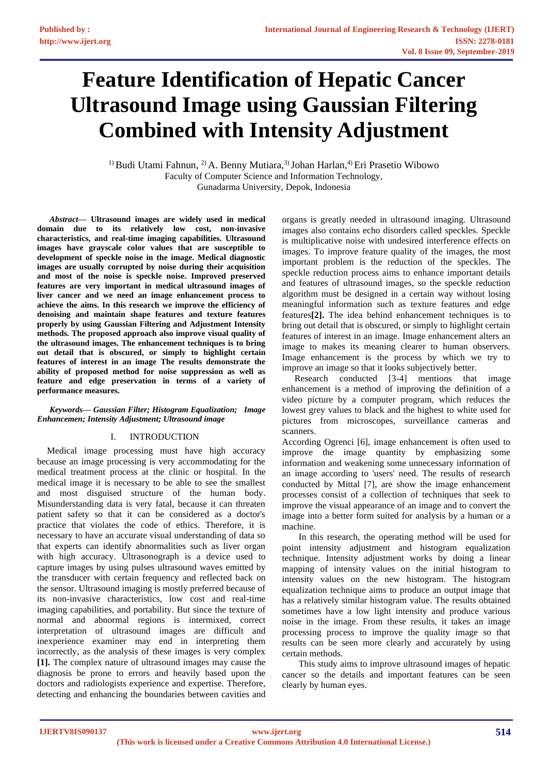# **Feature Identification of Hepatic Cancer Ultrasound Image using Gaussian Filtering Combined with Intensity Adjustment**

<sup>1)</sup> Budi Utami Fahnun, <sup>2)</sup> A. Benny Mutiara,<sup>3)</sup> Johan Harlan,<sup>4)</sup> Eri Prasetio Wibowo Faculty of Computer Science and Information Technology, Gunadarma University, Depok, Indonesia

*Abstract***— Ultrasound images are widely used in medical domain due to its relatively low cost, non-invasive characteristics, and real-time imaging capabilities. Ultrasound images have grayscale color values that are susceptible to development of speckle noise in the image. Medical diagnostic images are usually corrupted by noise during their acquisition and most of the noise is speckle noise. Improved preserved features are very important in medical ultrasound images of liver cancer and we need an image enhancement process to achieve the aims. In this research we improve the efficiency of denoising and maintain shape features and texture features properly by using Gaussian Filtering and Adjustment Intensity methods. The proposed approach also improve visual quality of the ultrasound images. The enhancement techniques is to bring out detail that is obscured, or simply to highlight certain features of interest in an image The results demonstrate the ability of proposed method for noise suppression as well as feature and edge preservation in terms of a variety of performance measures.**

### *Keywords— Gaussian Filter; Histogram Equalization; Image Enhancemen; Intensity Adjustment; Ultrasound image*

# I. INTRODUCTION

Medical image processing must have high accuracy because an image processing is very accommodating for the medical treatment process at the clinic or hospital. In the medical image it is necessary to be able to see the smallest and most disguised structure of the human body. Misunderstanding data is very fatal, because it can threaten patient safety so that it can be considered as a doctor's practice that violates the code of ethics. Therefore, it is necessary to have an accurate visual understanding of data so that experts can identify abnormalities such as liver organ with high accuracy. Ultrasonograph is a device used to capture images by using pulses ultrasound waves emitted by the transducer with certain frequency and reflected back on the sensor. Ultrasound imaging is mostly preferred because of its non-invasive characteristics, low cost and real-time imaging capabilities, and portability. But since the texture of normal and abnormal regions is intermixed, correct interpretation of ultrasound images are difficult and inexperience examiner may end in interpreting them incorrectly, as the analysis of these images is very complex **[1].** The complex nature of ultrasound images may cause the diagnosis be prone to errors and heavily based upon the doctors and radiologists experience and expertise. Therefore, detecting and enhancing the boundaries between cavities and

organs is greatly needed in ultrasound imaging. Ultrasound images also contains echo disorders called speckles. Speckle is multiplicative noise with undesired interference effects on images. To improve feature quality of the images, the most important problem is the reduction of the speckles. The speckle reduction process aims to enhance important details and features of ultrasound images, so the speckle reduction algorithm must be designed in a certain way without losing meaningful information such as texture features and edge features**[2].** The idea behind enhancement techniques is to bring out detail that is obscured, or simply to highlight certain features of interest in an image. Image enhancement alters an image to makes its meaning clearer to human observers. Image enhancement is the process by which we try to improve an image so that it looks subjectively better.

Research conducted [3-4] mentions that image enhancement is a method of improving the definition of a video picture by a computer program, which reduces the lowest grey values to black and the highest to white used for pictures from microscopes, surveillance cameras and scanners.

According Ogrenci [6], image enhancement is often used to improve the image quantity by emphasizing some information and weakening some unnecessary information of an image according to 'users' need. The results of research conducted by Mittal [7], are show the image enhancement processes consist of a collection of techniques that seek to improve the visual appearance of an image and to convert the image into a better form suited for analysis by a human or a machine.

In this research, the operating method will be used for point intensity adjustment and histogram equalization technique. Intensity adjustment works by doing a linear mapping of intensity values on the initial histogram to intensity values on the new histogram. The histogram equalization technique aims to produce an output image that has a relatively similar histogram value. The results obtained sometimes have a low light intensity and produce various noise in the image. From these results, it takes an image processing process to improve the quality image so that results can be seen more clearly and accurately by using certain methods.

This study aims to improve ultrasound images of hepatic cancer so the details and important features can be seen clearly by human eyes.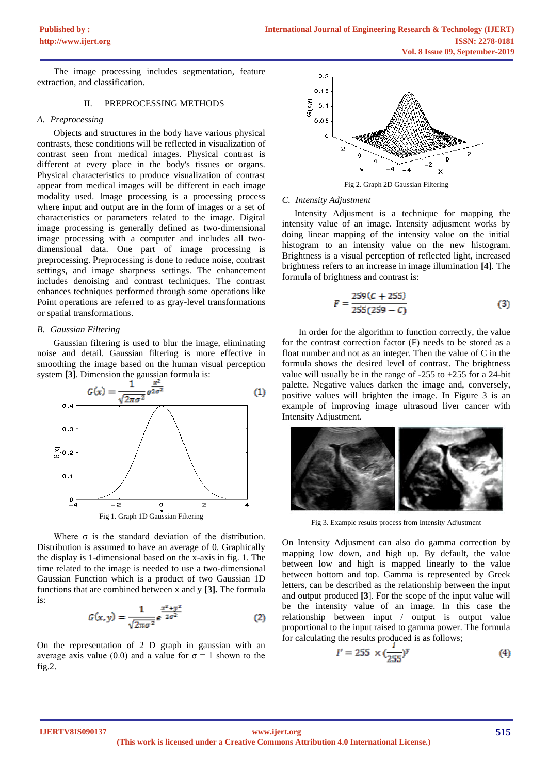The image processing includes segmentation, feature extraction, and classification.

#### II. PREPROCESSING METHODS

## *A. Preprocessing*

Objects and structures in the body have various physical contrasts, these conditions will be reflected in visualization of contrast seen from medical images. Physical contrast is different at every place in the body's tissues or organs. Physical characteristics to produce visualization of contrast appear from medical images will be different in each image modality used. Image processing is a processing process where input and output are in the form of images or a set of characteristics or parameters related to the image. Digital image processing is generally defined as two-dimensional image processing with a computer and includes all twodimensional data. One part of image processing is preprocessing. Preprocessing is done to reduce noise, contrast settings, and image sharpness settings. The enhancement includes denoising and contrast techniques. The contrast enhances techniques performed through some operations like Point operations are referred to as gray-level transformations or spatial transformations.

#### *B. Gaussian Filtering*

Gaussian filtering is used to blur the image, eliminating noise and detail. Gaussian filtering is more effective in smoothing the image based on the human visual perception



Where  $\sigma$  is the standard deviation of the distribution. Distribution is assumed to have an average of 0. Graphically the display is 1-dimensional based on the x-axis in fig. 1. The time related to the image is needed to use a two-dimensional Gaussian Function which is a product of two Gaussian 1D functions that are combined between x and y **[3].** The formula is:

$$
G(x, y) = \frac{1}{\sqrt{2\pi\sigma^2}} e^{\frac{x^2 + y^2}{2\sigma^2}}
$$
 (2)

On the representation of 2 D graph in gaussian with an average axis value (0.0) and a value for  $\sigma = 1$  shown to the fig.2.



Fig 2. Graph 2D Gaussian Filtering

#### *C. Intensity Adjustment*

Intensity Adjusment is a technique for mapping the intensity value of an image. Intensity adjusment works by doing linear mapping of the intensity value on the initial histogram to an intensity value on the new histogram. Brightness is a visual perception of reflected light, increased brightness refers to an increase in image illumination **[4**]. The formula of brightness and contrast is:

$$
F = \frac{259(C + 255)}{255(259 - C)}
$$
(3)

In order for the algorithm to function correctly, the value for the contrast correction factor (F) needs to be stored as a float number and not as an integer. Then the value of C in the formula shows the desired level of contrast. The brightness value will usually be in the range of -255 to +255 for a 24-bit palette. Negative values darken the image and, conversely, positive values will brighten the image. In Figure 3 is an example of improving image ultrasoud liver cancer with Intensity Adjustment.



Fig 3. Example results process from Intensity Adjustment

On Intensity Adjusment can also do gamma correction by mapping low down, and high up. By default, the value between low and high is mapped linearly to the value between bottom and top. Gamma is represented by Greek letters, can be described as the relationship between the input and output produced **[3**]. For the scope of the input value will be the intensity value of an image. In this case the relationship between input / output is output value proportional to the input raised to gamma power. The formula for calculating the results produced is as follows;

$$
I' = 255 \times (\frac{I}{255})^y \tag{4}
$$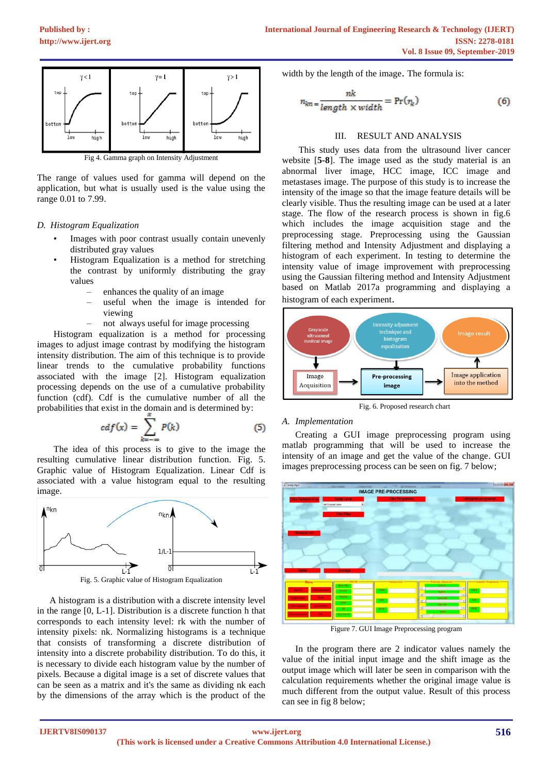

Fig 4. Gamma graph on Intensity Adjustment

The range of values used for gamma will depend on the application, but what is usually used is the value using the range 0.01 to 7.99.

# *D. Histogram Equalization*

- Images with poor contrast usually contain unevenly distributed gray values
- Histogram Equalization is a method for stretching the contrast by uniformly distributing the gray values
	- enhances the quality of an image
	- useful when the image is intended for viewing
	- not always useful for image processing

Histogram equalization is a method for processing images to adjust image contrast by modifying the histogram intensity distribution. The aim of this technique is to provide linear trends to the cumulative probability functions associated with the image [2]. Histogram equalization processing depends on the use of a cumulative probability function (cdf). Cdf is the cumulative number of all the probabilities that exist in the domain and is determined by:

$$
cdf(x) = \sum_{k=-\infty}^{x} P(k)
$$
 (5)

The idea of this process is to give to the image the resulting cumulative linear distribution function. Fig. 5. Graphic value of Histogram Equalization. Linear Cdf is associated with a value histogram equal to the resulting image.



Fig. 5. Graphic value of Histogram Equalization

A histogram is a distribution with a discrete intensity level in the range [0, L-1]. Distribution is a discrete function h that corresponds to each intensity level: rk with the number of intensity pixels: nk. Normalizing histograms is a technique that consists of transforming a discrete distribution of intensity into a discrete probability distribution. To do this, it is necessary to divide each histogram value by the number of pixels. Because a digital image is a set of discrete values that can be seen as a matrix and it's the same as dividing nk each by the dimensions of the array which is the product of the

width by the length of the image. The formula is:

$$
n_{kn} = \frac{nk}{length \times width} = Pr(r_k)
$$
 (6)

# III. RESULT AND ANALYSIS

This study uses data from the ultrasound liver cancer website [**5-8**]. The image used as the study material is an abnormal liver image, HCC image, ICC image and metastases image. The purpose of this study is to increase the intensity of the image so that the image feature details will be clearly visible. Thus the resulting image can be used at a later stage. The flow of the research process is shown in fig.6 which includes the image acquisition stage and the preprocessing stage. Preprocessing using the Gaussian filtering method and Intensity Adjustment and displaying a histogram of each experiment. In testing to determine the intensity value of image improvement with preprocessing using the Gaussian filtering method and Intensity Adjustment based on Matlab 2017a programming and displaying a histogram of each experiment.



Fig. 6. Proposed research chart

# *A. Implementation*

Creating a GUI image preprocessing program using matlab programming that will be used to increase the intensity of an image and get the value of the change. GUI images preprocessing process can be seen on fig. 7 below;



Figure 7. GUI Image Preprocessing program

In the program there are 2 indicator values namely the value of the initial input image and the shift image as the output image which will later be seen in comparison with the calculation requirements whether the original image value is much different from the output value. Result of this process can see in fig 8 below;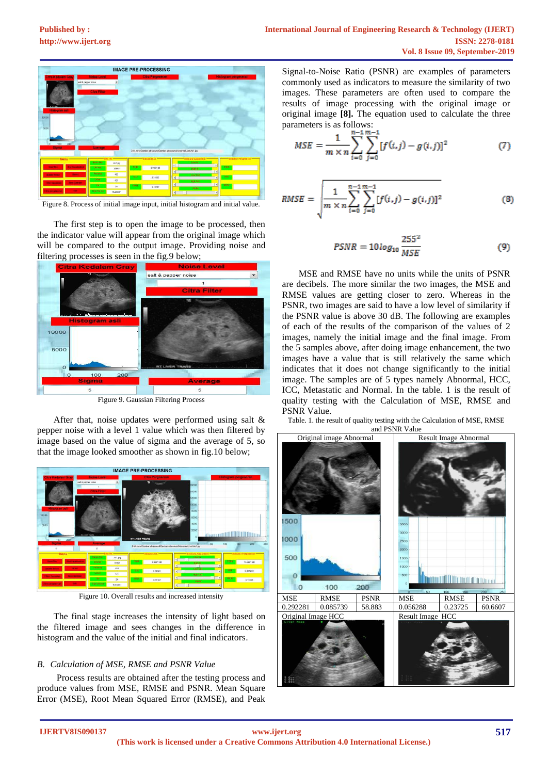

Figure 8. Process of initial image input, initial histogram and initial value.

The first step is to open the image to be processed, then the indicator value will appear from the original image which will be compared to the output image. Providing noise and filtering processes is seen in the fig.9 below;



Figure 9. Gaussian Filtering Process

After that, noise updates were performed using salt & pepper noise with a level 1 value which was then filtered by image based on the value of sigma and the average of 5, so that the image looked smoother as shown in fig.10 below;



Figure 10. Overall results and increased intensity

The final stage increases the intensity of light based on the filtered image and sees changes in the difference in histogram and the value of the initial and final indicators.

# *B. Calculation of MSE, RMSE and PSNR Value*

Process results are obtained after the testing process and produce values from MSE, RMSE and PSNR. Mean Square Error (MSE), Root Mean Squared Error (RMSE), and Peak

Signal-to-Noise Ratio (PSNR) are examples of parameters commonly used as indicators to measure the similarity of two images. These parameters are often used to compare the results of image processing with the original image or original image **[8].** The equation used to calculate the three parameters is as follows:

$$
MSE = \frac{1}{m \times n} \sum_{i=0}^{n-1} \sum_{j=0}^{m-1} [f(i,j) - g(i,j)]^2
$$
 (7)

$$
RMSE = \sqrt{\frac{1}{m \times n} \sum_{i=0}^{n-1} \sum_{j=0}^{m-1} [f(i,j) - g(i,j)]^2}
$$
(8)

$$
PSNR = 10\log_{10}\frac{255^2}{MSE}
$$
 (9)

MSE and RMSE have no units while the units of PSNR are decibels. The more similar the two images, the MSE and RMSE values are getting closer to zero. Whereas in the PSNR, two images are said to have a low level of similarity if the PSNR value is above 30 dB. The following are examples of each of the results of the comparison of the values of 2 images, namely the initial image and the final image. From the 5 samples above, after doing image enhancement, the two images have a value that is still relatively the same which indicates that it does not change significantly to the initial image. The samples are of 5 types namely Abnormal, HCC, ICC, Metastatic and Normal. In the table. 1 is the result of quality testing with the Calculation of MSE, RMSE and PSNR Value.

Table. 1. the result of quality testing with the Calculation of MSE, RMSE and PSNR Value